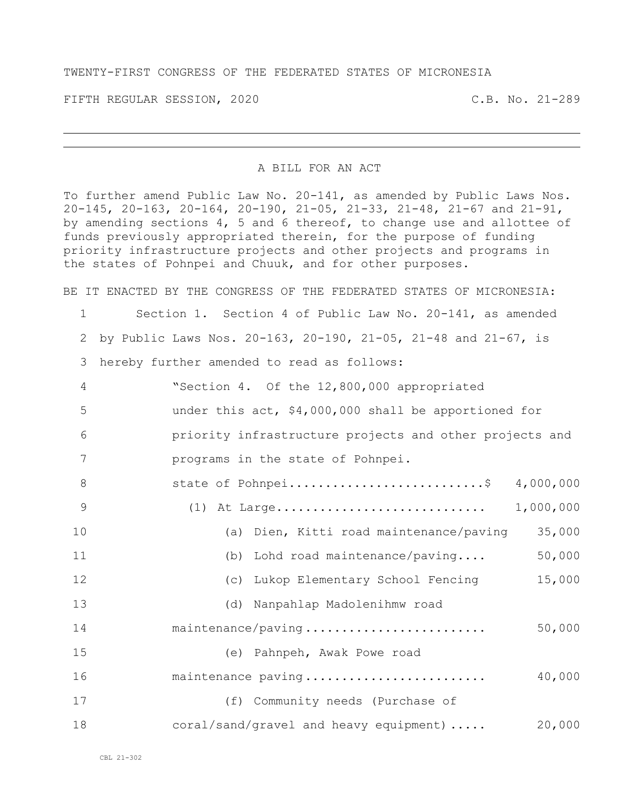## TWENTY-FIRST CONGRESS OF THE FEDERATED STATES OF MICRONESIA

FIFTH REGULAR SESSION, 2020 C.B. No. 21-289

## A BILL FOR AN ACT

To further amend Public Law No. 20-141, as amended by Public Laws Nos. 20-145, 20-163, 20-164, 20-190, 21-05, 21-33, 21-48, 21-67 and 21-91, by amending sections 4, 5 and 6 thereof, to change use and allottee of funds previously appropriated therein, for the purpose of funding priority infrastructure projects and other projects and programs in the states of Pohnpei and Chuuk, and for other purposes.

BE IT ENACTED BY THE CONGRESS OF THE FEDERATED STATES OF MICRONESIA:

## Section 1. Section 4 of Public Law No. 20-141, as amended by Public Laws Nos. 20-163, 20-190, 21-05, 21-48 and 21-67, is

hereby further amended to read as follows:

| $\overline{4}$ | "Section 4. Of the 12,800,000 appropriated              |
|----------------|---------------------------------------------------------|
| 5              | under this act, \$4,000,000 shall be apportioned for    |
| 6              | priority infrastructure projects and other projects and |
| 7              | programs in the state of Pohnpei.                       |
| 8              | state of Pohnpei\$<br>4,000,000                         |
| - 9            | 1,000,000<br>$(1)$ At Large                             |
| 10             | (a) Dien, Kitti road maintenance/paving<br>35,000       |
| 11             | (b) Lohd road maintenance/paving<br>50,000              |
| 12             | 15,000<br>(c) Lukop Elementary School Fencing           |

| 13 | (d) Nanpahlap Madolenihmw road                  |        |
|----|-------------------------------------------------|--------|
| 14 | maintenance/paving                              | 50,000 |
| 15 | Pahnpeh, Awak Powe road<br>(e)                  |        |
| 16 | maintenance paving                              | 40,000 |
| 17 | (f) Community needs (Purchase of                |        |
| 18 | $\text{coral/sand/gravel}$ and heavy equipment) | 20,000 |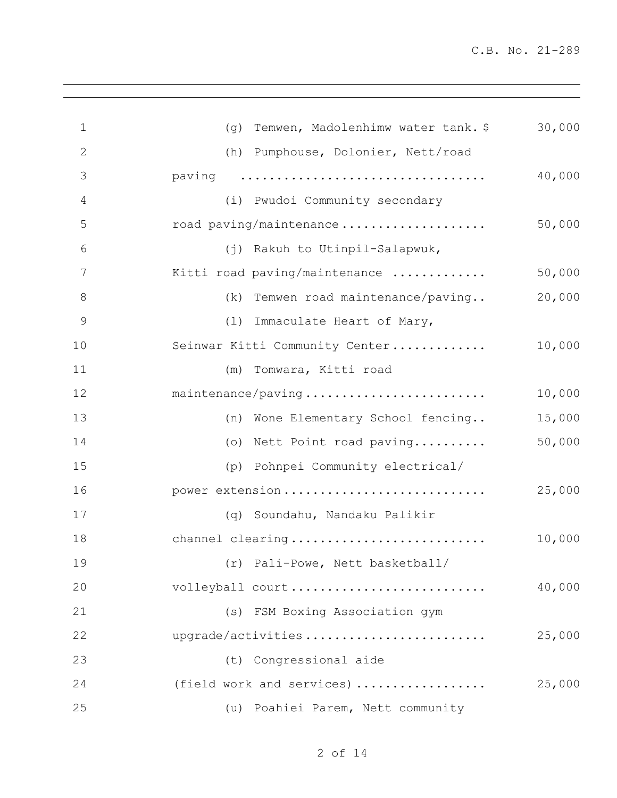| $\mathbf 1$   | Temwen, Madolenhimw water tank. \$<br>(q) | 30,000 |
|---------------|-------------------------------------------|--------|
| $\mathbf{2}$  | (h) Pumphouse, Dolonier, Nett/road        |        |
| 3             | paving                                    | 40,000 |
| 4             | (i) Pwudoi Community secondary            |        |
| 5             | road paving/maintenance                   | 50,000 |
| 6             | (j) Rakuh to Utinpil-Salapwuk,            |        |
| 7             | Kitti road paving/maintenance             | 50,000 |
| $8\,$         | (k) Temwen road maintenance/paving        | 20,000 |
| $\mathcal{G}$ | (1) Immaculate Heart of Mary,             |        |
| 10            | Seinwar Kitti Community Center            | 10,000 |
| 11            | Tomwara, Kitti road<br>(m)                |        |
| 12            | maintenance/paving                        | 10,000 |
| 13            | (n) Wone Elementary School fencing        | 15,000 |
| 14            | (o) Nett Point road paving                | 50,000 |
| 15            | (p) Pohnpei Community electrical/         |        |
| 16            | power extension                           | 25,000 |
| 17            | (q) Soundahu, Nandaku Palikir             |        |
| 18            | channel clearing                          | 10,000 |
| 19            | (r) Pali-Powe, Nett basketball/           |        |
| 20            | volleyball court                          | 40,000 |
| 21            | (s) FSM Boxing Association gym            |        |
| 22            | upgrade/activities                        | 25,000 |
| 23            | (t) Congressional aide                    |        |
| 24            | (field work and services)                 | 25,000 |
| 25            | (u) Poahiei Parem, Nett community         |        |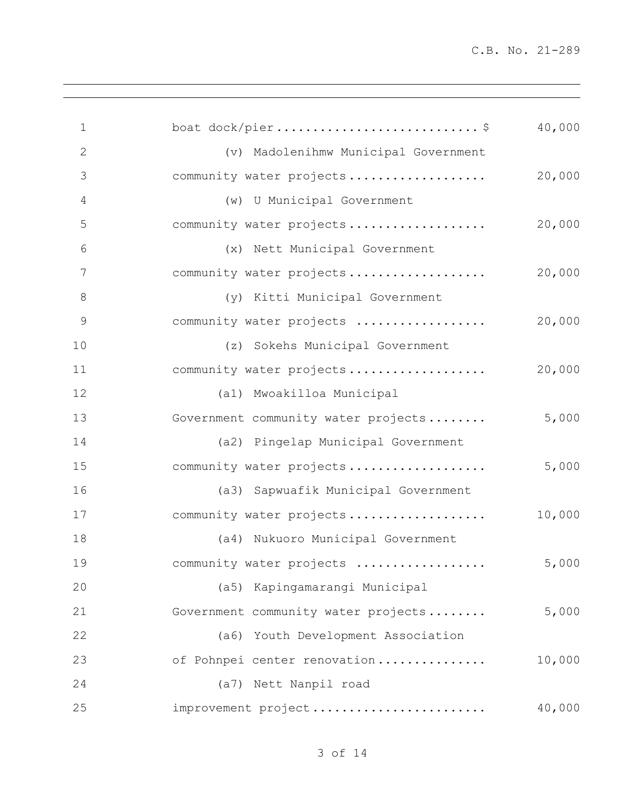| $\mathbf 1$   |                                      | 40,000 |
|---------------|--------------------------------------|--------|
| $\mathbf{2}$  | (v) Madolenihmw Municipal Government |        |
| 3             | community water projects             | 20,000 |
| 4             | (w) U Municipal Government           |        |
| 5             | community water projects             | 20,000 |
| 6             | (x) Nett Municipal Government        |        |
| 7             | community water projects             | 20,000 |
| $\,8\,$       | (y) Kitti Municipal Government       |        |
| $\mathcal{G}$ | community water projects             | 20,000 |
| 10            | (z) Sokehs Municipal Government      |        |
| 11            | community water projects             | 20,000 |
| 12            | (al) Mwoakilloa Municipal            |        |
| 13            | Government community water projects  | 5,000  |
| 14            | (a2) Pingelap Municipal Government   |        |
| 15            | community water projects             | 5,000  |
| 16            | (a3) Sapwuafik Municipal Government  |        |
| 17            | community water projects             | 10,000 |
| 18            | (a4) Nukuoro Municipal Government    |        |
| 19            | community water projects             | 5,000  |
| 20            | (a5) Kapingamarangi Municipal        |        |
| 21            | Government community water projects  | 5,000  |
| 22            | (a6) Youth Development Association   |        |
| 23            | of Pohnpei center renovation         | 10,000 |
| 24            | (a7) Nett Nanpil road                |        |
| 25            | improvement project                  | 40,000 |
|               |                                      |        |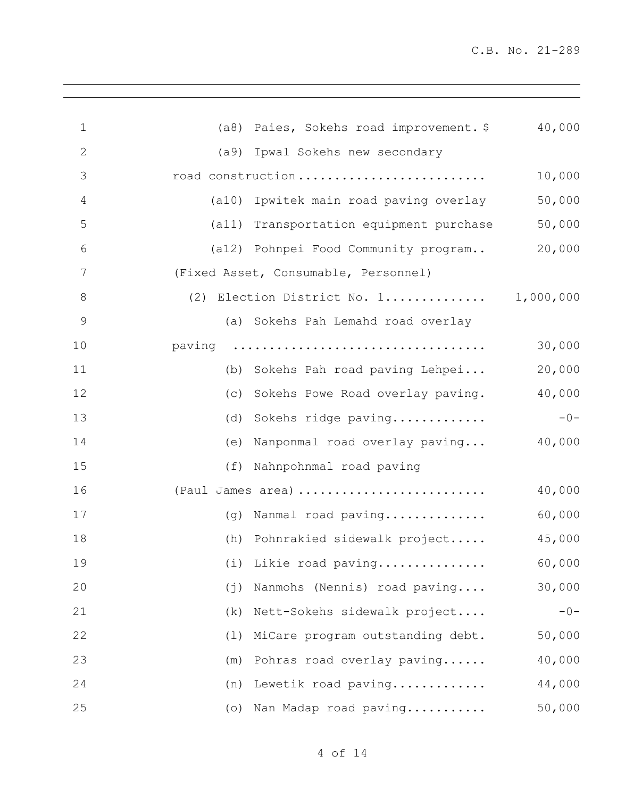| $\mathbf 1$   | (a8) Paies, Sokehs road improvement. \$ | 40,000 |
|---------------|-----------------------------------------|--------|
| $\mathbf{2}$  | (a9) Ipwal Sokehs new secondary         |        |
| 3             | road construction                       | 10,000 |
| 4             | (a10) Ipwitek main road paving overlay  | 50,000 |
| 5             | (a11) Transportation equipment purchase | 50,000 |
| 6             | (a12) Pohnpei Food Community program    | 20,000 |
| 7             | (Fixed Asset, Consumable, Personnel)    |        |
| 8             | (2) Election District No. 1 1,000,000   |        |
| $\mathcal{G}$ | (a) Sokehs Pah Lemahd road overlay      |        |
| 10            | paving                                  | 30,000 |
| 11            | Sokehs Pah road paving Lehpei<br>(b)    | 20,000 |
| 12            | Sokehs Powe Road overlay paving.<br>(C) | 40,000 |
| 13            | Sokehs ridge paving<br>(d)              | $-0-$  |
| 14            | Nanponmal road overlay paving<br>(e)    | 40,000 |
| 15            | Nahnpohnmal road paving<br>(f)          |        |
| 16            | (Paul James area)                       | 40,000 |
| 17            | (g) Nanmal road paving                  | 60,000 |
| 18            | (h) Pohnrakied sidewalk project         | 45,000 |
| 19            | (i) Likie road paving                   | 60,000 |
| 20            | Nanmohs (Nennis) road paving<br>(j)     | 30,000 |
| 21            | Nett-Sokehs sidewalk project<br>(k)     | $-0-$  |
| 22            | MiCare program outstanding debt.<br>(1) | 50,000 |
| 23            | Pohras road overlay paving<br>(m)       | 40,000 |
| 24            | (n) Lewetik road paving                 | 44,000 |
| 25            | (o) Nan Madap road paving               | 50,000 |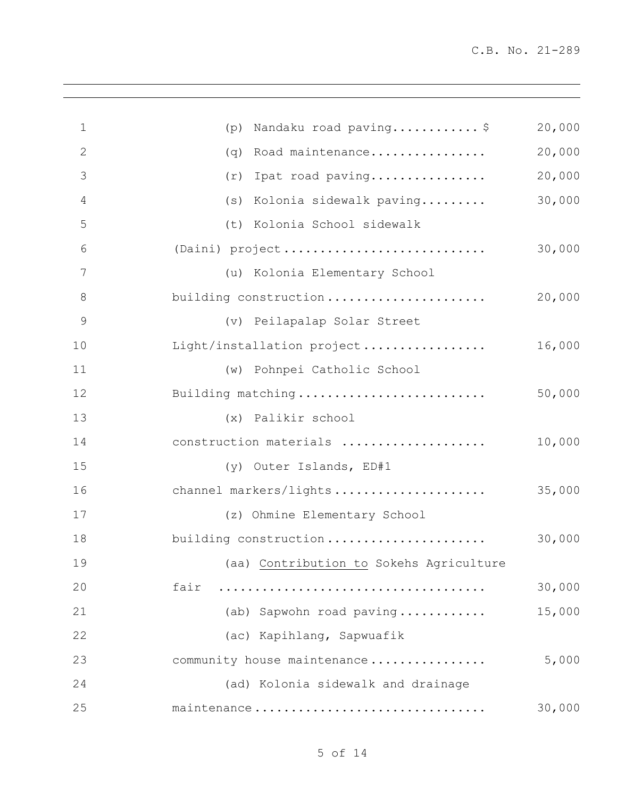| $\mathbf 1$   | Nandaku road paving\$<br>(p)            | 20,000 |
|---------------|-----------------------------------------|--------|
| $\mathbf{2}$  | Road maintenance<br>(q)                 | 20,000 |
| 3             | Ipat road paving<br>(r)                 | 20,000 |
| 4             | (s) Kolonia sidewalk paving             | 30,000 |
| 5             | (t) Kolonia School sidewalk             |        |
| 6             | (Daini) project                         | 30,000 |
| 7             | (u) Kolonia Elementary School           |        |
| 8             | building construction                   | 20,000 |
| $\mathcal{G}$ | (v) Peilapalap Solar Street             |        |
| 10            | Light/installation project              | 16,000 |
| 11            | (w) Pohnpei Catholic School             |        |
| 12            | Building matching                       | 50,000 |
| 13            | (x) Palikir school                      |        |
| 14            | construction materials                  | 10,000 |
| 15            | (y) Outer Islands, ED#1                 |        |
| 16            | channel markers/lights                  | 35,000 |
| 17            | (z) Ohmine Elementary School            |        |
| 18            | building construction                   | 30,000 |
| 19            | (aa) Contribution to Sokehs Agriculture |        |
| 20            | fair                                    | 30,000 |
| 21            | (ab) Sapwohn road paving                | 15,000 |
| 22            | (ac) Kapihlang, Sapwuafik               |        |
| 23            | community house maintenance             | 5,000  |
| 24            | (ad) Kolonia sidewalk and drainage      |        |
| 25            | maintenance                             | 30,000 |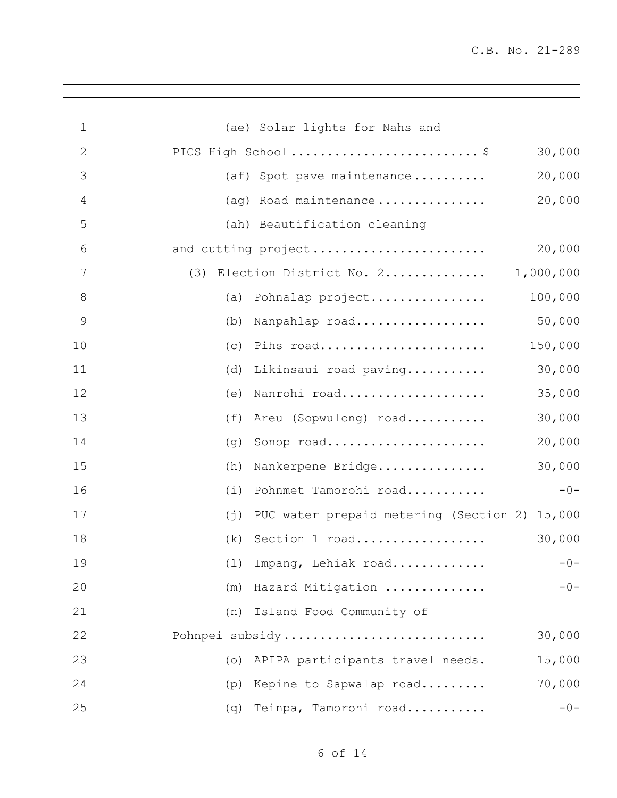| $\mathbf 1$   | (ae) Solar lights for Nahs and                               |
|---------------|--------------------------------------------------------------|
| $\sqrt{2}$    | PICS High School\$<br>30,000                                 |
| 3             | 20,000<br>(af) Spot pave maintenance                         |
| 4             | 20,000<br>(ag) Road maintenance                              |
| 5             | (ah) Beautification cleaning                                 |
| 6             | and cutting project<br>20,000                                |
| 7             | Election District No. 2<br>1,000,000<br>(3)                  |
| $8\,$         | 100,000<br>(a) Pohnalap project                              |
| $\mathcal{G}$ | 50,000<br>Nanpahlap road<br>(b)                              |
| 10            | Pihs road<br>150,000<br>(C)                                  |
| 11            | 30,000<br>Likinsaui road paving<br>(d)                       |
| 12            | 35,000<br>Nanrohi road<br>(e)                                |
| 13            | 30,000<br>Areu (Sopwulong) road<br>(f)                       |
| 14            | 20,000<br>Sonop road<br>(q)                                  |
| 15            | 30,000<br>Nankerpene Bridge<br>(h)                           |
| 16            | Pohnmet Tamorohi road<br>$-0-$<br>(i)                        |
| 17            | PUC water prepaid metering (Section 2) 15,000<br>$(\dagger)$ |
| 18            | Section 1 road<br>30,000<br>(k)                              |
| 19            | (1) Impang, Lehiak road $-0-$                                |
| 20            | $-0-$<br>(m) Hazard Mitigation                               |
| 21            | (n) Island Food Community of                                 |
| 22            | 30,000<br>Pohnpei subsidy                                    |
| 23            | 15,000<br>(o) APIPA participants travel needs.               |
| 24            | 70,000<br>(p) Kepine to Sapwalap road                        |
| 25            | (q) Teinpa, Tamorohi road<br>$-0-$                           |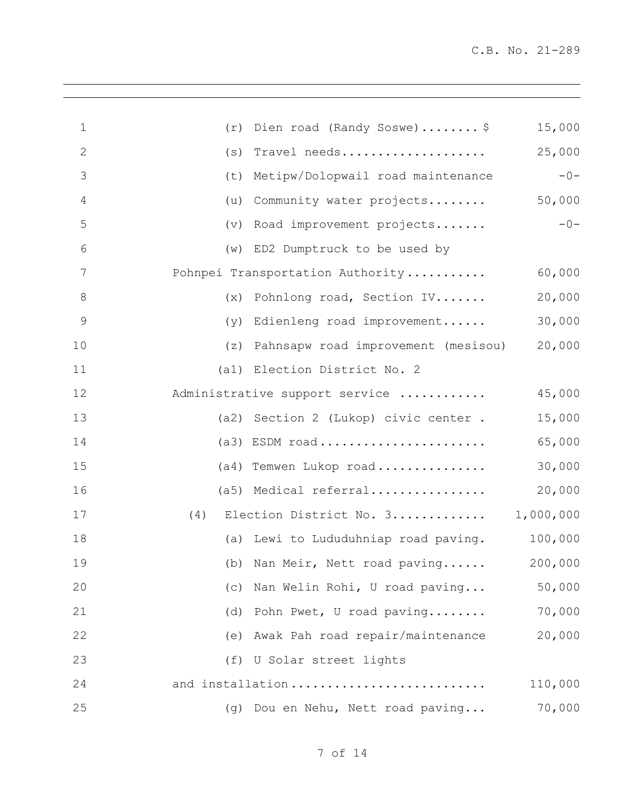| $\mathbf 1$    | (r) | Dien road (Randy Soswe) \$              | 15,000  |
|----------------|-----|-----------------------------------------|---------|
| $\mathbf{2}$   | (s) | Travel needs                            | 25,000  |
| 3              | (t) | Metipw/Dolopwail road maintenance       | $-0-$   |
| $\overline{4}$ | (u) | Community water projects                | 50,000  |
| 5              |     | (v) Road improvement projects           | $-0-$   |
| 6              |     | (w) ED2 Dumptruck to be used by         |         |
| 7              |     | Pohnpei Transportation Authority        | 60,000  |
| $8\,$          |     | (x) Pohnlong road, Section IV           | 20,000  |
| $\mathcal{G}$  | (y) | Edienleng road improvement              | 30,000  |
| 10             |     | (z) Pahnsapw road improvement (mesisou) | 20,000  |
| 11             |     | (al) Election District No. 2            |         |
| 12             |     | Administrative support service          | 45,000  |
| 13             |     | (a2) Section 2 (Lukop) civic center.    | 15,000  |
| 14             |     | $(a3)$ ESDM road                        | 65,000  |
| 15             |     | (a4) Temwen Lukop road                  | 30,000  |
| 16             |     | (a5) Medical referral                   | 20,000  |
| 17             | (4) | Election District No. 3 1,000,000       |         |
| 18             |     | (a) Lewi to Lududuhniap road paving.    | 100,000 |
| 19             |     | (b) Nan Meir, Nett road paving 200,000  |         |
| 20             | (c) | Nan Welin Rohi, U road paving           | 50,000  |
| 21             | (d) | Pohn Pwet, U road paving                | 70,000  |
| 22             |     | (e) Awak Pah road repair/maintenance    | 20,000  |
| 23             |     | (f) U Solar street lights               |         |
| 24             |     | and installation                        | 110,000 |
| 25             | (q) | Dou en Nehu, Nett road paving           | 70,000  |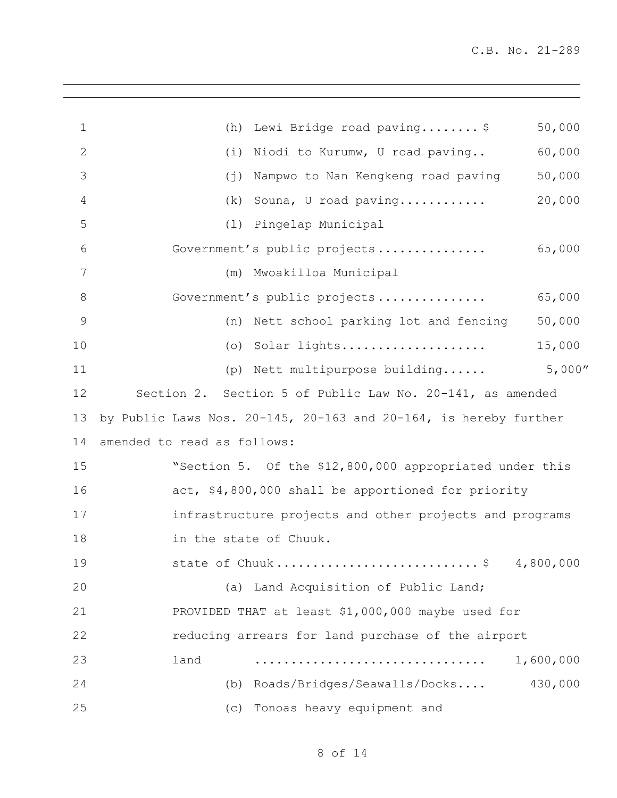| $\mathbf 1$  | Lewi Bridge road paving \$<br>(h)                                        | 50,000    |
|--------------|--------------------------------------------------------------------------|-----------|
| $\mathbf{2}$ | (i)<br>Niodi to Kurumw, U road paving                                    | 60,000    |
| 3            | $(\dagger)$<br>Nampwo to Nan Kengkeng road paving                        | 50,000    |
| 4            | (k)<br>Souna, U road paving                                              | 20,000    |
| 5            | Pingelap Municipal<br>(1)                                                |           |
| 6            | Government's public projects                                             | 65,000    |
| 7            | Mwoakilloa Municipal<br>(m)                                              |           |
| 8            | Government's public projects                                             | 65,000    |
| 9            | Nett school parking lot and fencing<br>(n)                               | 50,000    |
| 10           | Solar lights<br>$( \circ )$                                              | 15,000    |
| 11           | (p) Nett multipurpose building                                           | 5,000''   |
| 12           | Section 2. Section 5 of Public Law No. 20-141, as amended                |           |
| 13           | by Public Laws Nos. $20-145$ , $20-163$ and $20-164$ , is hereby further |           |
| 14           | amended to read as follows:                                              |           |
| 15           | "Section 5. Of the \$12,800,000 appropriated under this                  |           |
| 16           | act, \$4,800,000 shall be apportioned for priority                       |           |
| 17           | infrastructure projects and other projects and programs                  |           |
| 18           | in the state of Chuuk.                                                   |           |
| 19           | state of Chuuk\$ 4,800,000                                               |           |
| 20           | (a) Land Acquisition of Public Land;                                     |           |
| 21           | PROVIDED THAT at least \$1,000,000 maybe used for                        |           |
| 22           | reducing arrears for land purchase of the airport                        |           |
| 23           | land                                                                     | 1,600,000 |
| 24           | (b) Roads/Bridges/Seawalls/Docks                                         | 430,000   |
| 25           | (c) Tonoas heavy equipment and                                           |           |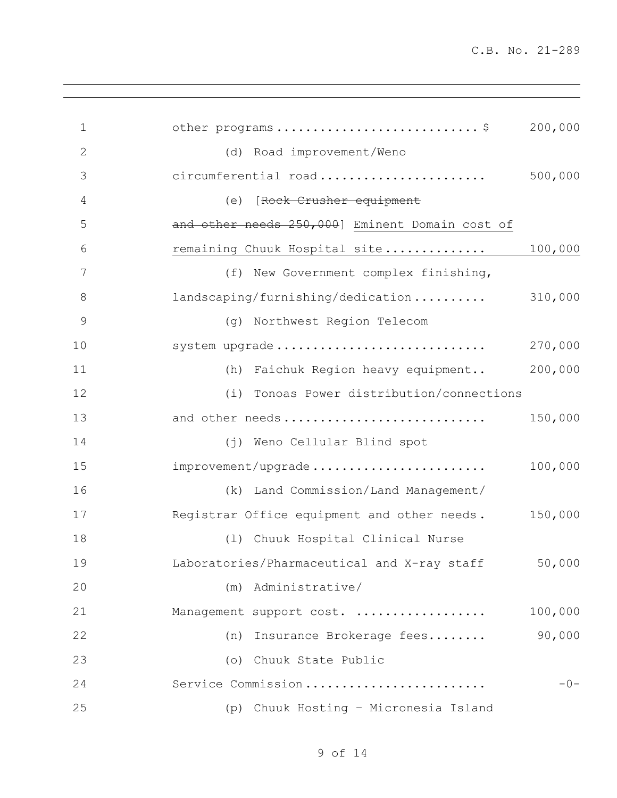| $\mathbf 1$    | other programs\$                                    | 200,000 |
|----------------|-----------------------------------------------------|---------|
| $\overline{2}$ | (d) Road improvement/Weno                           |         |
| 3              | circumferential road                                | 500,000 |
| 4              | (e) [Rock Crusher equipment                         |         |
| 5              | and other needs 250,000] Eminent Domain cost of     |         |
| 6              | remaining Chuuk Hospital site                       | 100,000 |
| 7              | (f) New Government complex finishing,               |         |
| $8\,$          | landscaping/furnishing/dedication 310,000           |         |
| $\mathcal{G}$  | (g) Northwest Region Telecom                        |         |
| 10             | system upgrade                                      | 270,000 |
| 11             | (h) Faichuk Region heavy equipment                  | 200,000 |
| 12             | Tonoas Power distribution/connections<br>(i)        |         |
| 13             | and other needs                                     | 150,000 |
| 14             | (j) Weno Cellular Blind spot                        |         |
| 15             | improvement/upgrade                                 | 100,000 |
| 16             | (k) Land Commission/Land Management/                |         |
| 17             | Registrar Office equipment and other needs. 150,000 |         |
| 18             | (1) Chuuk Hospital Clinical Nurse                   |         |
| 19             | Laboratories/Pharmaceutical and X-ray staff 50,000  |         |
| 20             | (m) Administrative/                                 |         |
| 21             | Management support cost.                            | 100,000 |
| 22             | (n) Insurance Brokerage fees                        | 90,000  |
| 23             | (o) Chuuk State Public                              |         |
| 24             | Service Commission                                  | $-0-$   |
| 25             | Chuuk Hosting - Micronesia Island<br>(p)            |         |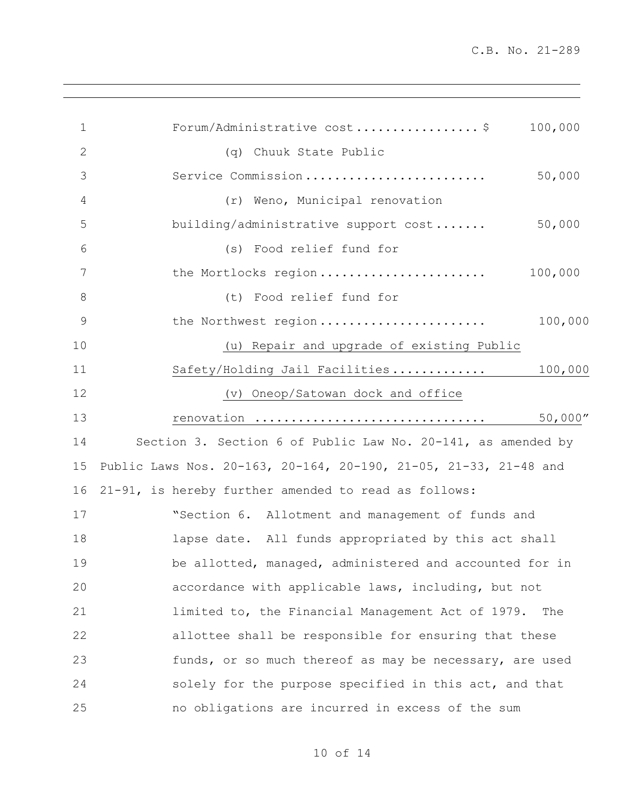| $\mathbf 1$    | Forum/Administrative cost\$<br>100,000                           |
|----------------|------------------------------------------------------------------|
| $\mathbf{2}$   | (q) Chuuk State Public                                           |
| 3              | Service Commission<br>50,000                                     |
| $\overline{4}$ | (r) Weno, Municipal renovation                                   |
| 5              | 50,000<br>building/administrative support cost                   |
| 6              | (s) Food relief fund for                                         |
| 7              | the Mortlocks region<br>100,000                                  |
| $8\,$          | (t) Food relief fund for                                         |
| 9              | the Northwest region<br>100,000                                  |
| 10             | (u) Repair and upgrade of existing Public                        |
| 11             | 100,000<br>Safety/Holding Jail Facilities                        |
| 12             | (v) Oneop/Satowan dock and office                                |
| 13             | 50,000''<br>renovation                                           |
| 14             | Section 3. Section 6 of Public Law No. 20-141, as amended by     |
| 15             | Public Laws Nos. 20-163, 20-164, 20-190, 21-05, 21-33, 21-48 and |
| 16             | 21-91, is hereby further amended to read as follows:             |
| 17             | "Section 6. Allotment and management of funds and                |
| 18             | lapse date. All funds appropriated by this act shall             |
| 19             | be allotted, managed, administered and accounted for in          |
| 20             | accordance with applicable laws, including, but not              |
| 21             | limited to, the Financial Management Act of 1979.<br>The         |
| 22             | allottee shall be responsible for ensuring that these            |
| 23             | funds, or so much thereof as may be necessary, are used          |
| 24             | solely for the purpose specified in this act, and that           |
| 25             | no obligations are incurred in excess of the sum                 |
|                |                                                                  |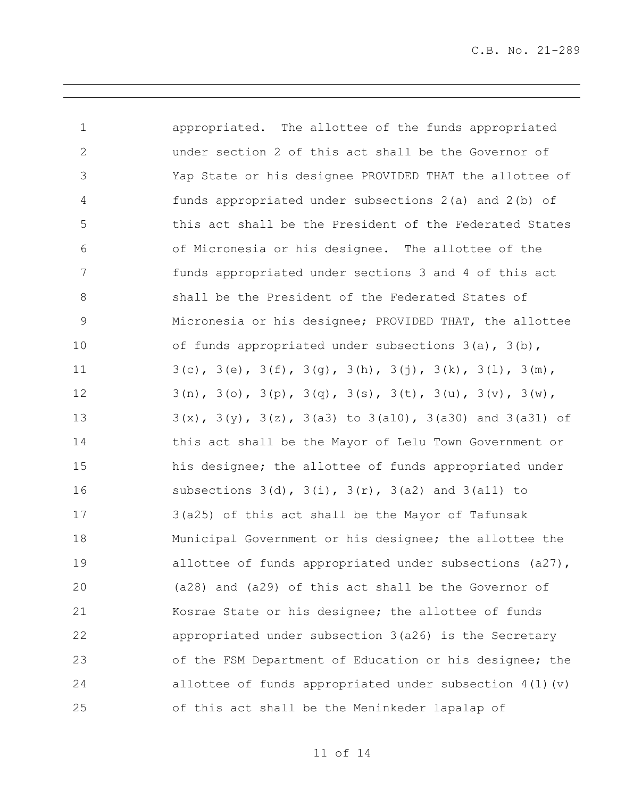| $\mathbf 1$     | appropriated. The allottee of the funds appropriated                             |
|-----------------|----------------------------------------------------------------------------------|
| $\mathbf{2}$    | under section 2 of this act shall be the Governor of                             |
| $\mathfrak{Z}$  | Yap State or his designee PROVIDED THAT the allottee of                          |
| $\overline{4}$  | funds appropriated under subsections 2(a) and 2(b) of                            |
| 5               | this act shall be the President of the Federated States                          |
| 6               | of Micronesia or his designee. The allottee of the                               |
| $7\phantom{.0}$ | funds appropriated under sections 3 and 4 of this act                            |
| $8\,$           | shall be the President of the Federated States of                                |
| $\mathsf 9$     | Micronesia or his designee; PROVIDED THAT, the allottee                          |
| 10              | of funds appropriated under subsections 3(a), 3(b),                              |
| 11              | $3(c)$ , $3(e)$ , $3(f)$ , $3(g)$ , $3(h)$ , $3(j)$ , $3(k)$ , $3(l)$ , $3(m)$ , |
| 12              | $3(n)$ , $3(o)$ , $3(p)$ , $3(q)$ , $3(s)$ , $3(t)$ , $3(u)$ , $3(v)$ , $3(w)$ , |
| 13              | $3(x)$ , $3(y)$ , $3(z)$ , $3(a3)$ to $3(a10)$ , $3(a30)$ and $3(a31)$ of        |
| 14              | this act shall be the Mayor of Lelu Town Government or                           |
| 15              | his designee; the allottee of funds appropriated under                           |
| 16              | subsections $3(d)$ , $3(i)$ , $3(r)$ , $3(a2)$ and $3(a11)$ to                   |
| 17              | 3(a25) of this act shall be the Mayor of Tafunsak                                |
| 18              | Municipal Government or his designee; the allottee the                           |
| 19              | allottee of funds appropriated under subsections (a27),                          |
| 20              | (a28) and (a29) of this act shall be the Governor of                             |
| 21              | Kosrae State or his designee; the allottee of funds                              |
| 22              | appropriated under subsection 3(a26) is the Secretary                            |
| 23              | of the FSM Department of Education or his designee; the                          |
| 24              | allottee of funds appropriated under subsection $4(1)(v)$                        |
| 25              | of this act shall be the Meninkeder lapalap of                                   |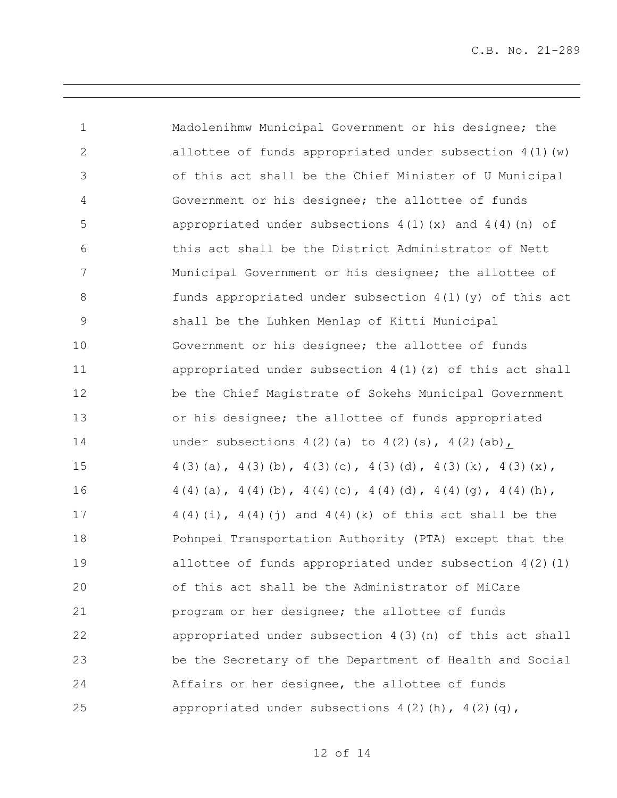| $\mathbf 1$    | Madolenihmw Municipal Government or his designee; the                   |
|----------------|-------------------------------------------------------------------------|
| $\mathbf{2}$   | allottee of funds appropriated under subsection $4(1)$ (w)              |
| 3              | of this act shall be the Chief Minister of U Municipal                  |
| 4              | Government or his designee; the allottee of funds                       |
| 5              | appropriated under subsections $4(1)(x)$ and $4(4)(n)$ of               |
| 6              | this act shall be the District Administrator of Nett                    |
| $\overline{7}$ | Municipal Government or his designee; the allottee of                   |
| $\,8\,$        | funds appropriated under subsection $4(1)(y)$ of this act               |
| $\mathsf 9$    | shall be the Luhken Menlap of Kitti Municipal                           |
| 10             | Government or his designee; the allottee of funds                       |
| 11             | appropriated under subsection $4(1)(z)$ of this act shall               |
| 12             | be the Chief Magistrate of Sokehs Municipal Government                  |
| 13             | or his designee; the allottee of funds appropriated                     |
| 14             | under subsections $4(2)(a)$ to $4(2)(s)$ , $4(2)(ab)$ ,                 |
| 15             | $4(3)(a)$ , $4(3)(b)$ , $4(3)(c)$ , $4(3)(d)$ , $4(3)(k)$ , $4(3)(x)$ , |
| 16             | $4(4)(a)$ , $4(4)(b)$ , $4(4)(c)$ , $4(4)(d)$ , $4(4)(g)$ , $4(4)(h)$ , |
| 17             | $4(4)(i)$ , $4(4)(j)$ and $4(4)(k)$ of this act shall be the            |
| 18             | Pohnpei Transportation Authority (PTA) except that the                  |
| 19             | allottee of funds appropriated under subsection $4(2)(1)$               |
| 20             | of this act shall be the Administrator of MiCare                        |
| 21             | program or her designee; the allottee of funds                          |
| 22             | appropriated under subsection $4(3)(n)$ of this act shall               |
| 23             | be the Secretary of the Department of Health and Social                 |
| 24             | Affairs or her designee, the allottee of funds                          |
| 25             | appropriated under subsections $4(2)$ (h), $4(2)$ (q),                  |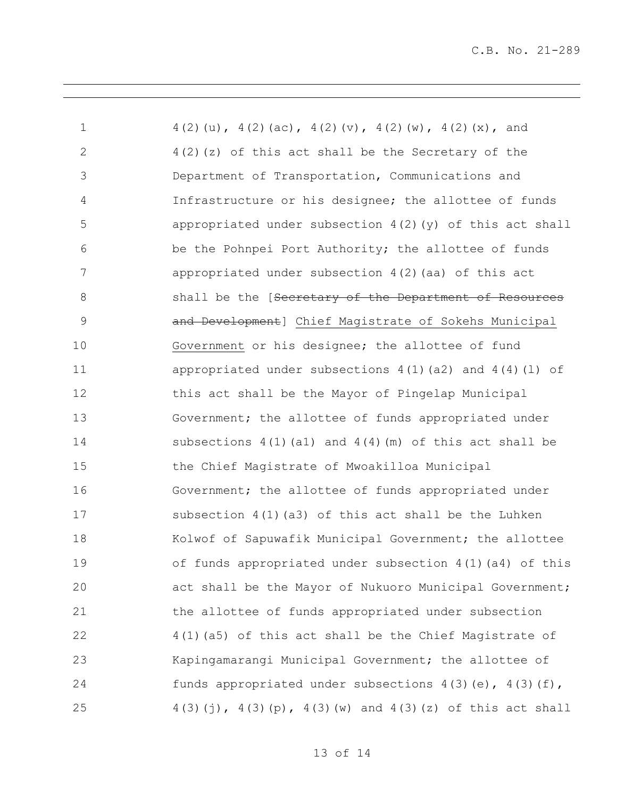| $\mathbf 1$    | $4(2)(u)$ , $4(2)(ac)$ , $4(2)(v)$ , $4(2)(w)$ , $4(2)(x)$ , and  |
|----------------|-------------------------------------------------------------------|
| $\mathbf{2}$   | $4(2)(z)$ of this act shall be the Secretary of the               |
| $\mathfrak{Z}$ | Department of Transportation, Communications and                  |
| 4              | Infrastructure or his designee; the allottee of funds             |
| 5              | appropriated under subsection $4(2)(y)$ of this act shall         |
| 6              | be the Pohnpei Port Authority; the allottee of funds              |
| 7              | appropriated under subsection 4(2) (aa) of this act               |
| $8\,$          | shall be the [Secretary of the Department of Resources            |
| $\mathsf 9$    | and Development] Chief Magistrate of Sokehs Municipal             |
| 10             | Government or his designee; the allottee of fund                  |
| 11             | appropriated under subsections $4(1)(a2)$ and $4(4)(1)$ of        |
| 12             | this act shall be the Mayor of Pingelap Municipal                 |
| 13             | Government; the allottee of funds appropriated under              |
| 14             | subsections $4(1)(a1)$ and $4(4)(m)$ of this act shall be         |
| 15             | the Chief Magistrate of Mwoakilloa Municipal                      |
| 16             | Government; the allottee of funds appropriated under              |
| 17             | subsection 4(1)(a3) of this act shall be the Luhken               |
| 18             | Kolwof of Sapuwafik Municipal Government; the allottee            |
| 19             | of funds appropriated under subsection 4(1)(a4) of this           |
| 20             | act shall be the Mayor of Nukuoro Municipal Government;           |
| 21             | the allottee of funds appropriated under subsection               |
| 22             | 4(1)(a5) of this act shall be the Chief Magistrate of             |
| 23             | Kapingamarangi Municipal Government; the allottee of              |
| 24             | funds appropriated under subsections $4(3)(e)$ , $4(3)(f)$ ,      |
| 25             | $4(3)(j)$ , $4(3)(p)$ , $4(3)(w)$ and $4(3)(z)$ of this act shall |